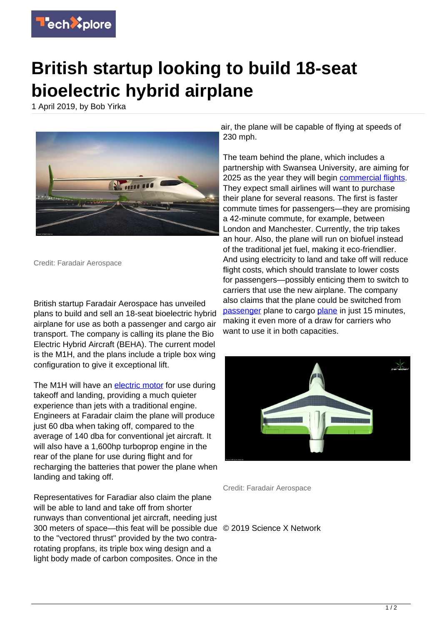

## **British startup looking to build 18-seat bioelectric hybrid airplane**

1 April 2019, by Bob Yirka



Credit: Faradair Aerospace

British startup Faradair Aerospace has unveiled plans to build and sell an 18-seat bioelectric hybrid airplane for use as both a passenger and cargo air transport. The company is calling its plane the Bio Electric Hybrid Aircraft (BEHA). The current model is the M1H, and the plans include a triple box wing configuration to give it exceptional lift.

The M1H will have an [electric motor](https://techxplore.com/tags/electric+motor/) for use during takeoff and landing, providing a much quieter experience than jets with a traditional engine. Engineers at Faradair claim the plane will produce just 60 dba when taking off, compared to the average of 140 dba for conventional jet aircraft. It will also have a 1,600hp turboprop engine in the rear of the plane for use during flight and for recharging the batteries that power the plane when landing and taking off.

Representatives for Faradiar also claim the plane will be able to land and take off from shorter runways than conventional jet aircraft, needing just 300 meters of space—this feat will be possible due © 2019 Science X Network to the "vectored thrust" provided by the two contrarotating propfans, its triple box wing design and a light body made of carbon composites. Once in the

air, the plane will be capable of flying at speeds of 230 mph.

The team behind the plane, which includes a partnership with Swansea University, are aiming for 2025 as the year they will begin [commercial flights.](https://techxplore.com/tags/commercial+flights/) They expect small airlines will want to purchase their plane for several reasons. The first is faster commute times for passengers—they are promising a 42-minute commute, for example, between London and Manchester. Currently, the trip takes an hour. Also, the plane will run on biofuel instead of the traditional jet fuel, making it eco-friendlier. And using electricity to land and take off will reduce flight costs, which should translate to lower costs for passengers—possibly enticing them to switch to carriers that use the new airplane. The company also claims that the plane could be switched from [passenger](https://techxplore.com/tags/passenger/) [plane](https://techxplore.com/tags/plane/) to cargo plane in just 15 minutes, making it even more of a draw for carriers who want to use it in both capacities.



Credit: Faradair Aerospace